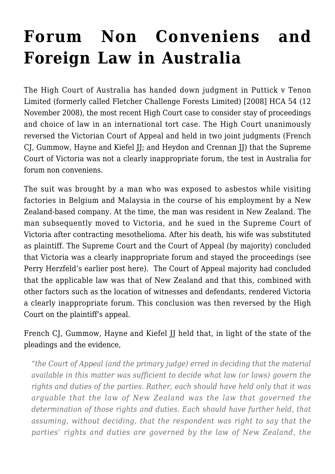## **[Forum Non Conveniens and](https://conflictoflaws.net/2008/forum-non-conveniens-and-foreign-law-in-australia/) [Foreign Law in Australia](https://conflictoflaws.net/2008/forum-non-conveniens-and-foreign-law-in-australia/)**

The High Court of Australia has handed down judgment in [Puttick v Tenon](http://www.austlii.edu.au/au/cases/cth/HCA/2008/54.html) [Limited \(formerly called Fletcher Challenge Forests Limited\) \[2008\] HCA 54 \(12](http://www.austlii.edu.au/au/cases/cth/HCA/2008/54.html) [November 2008\)](http://www.austlii.edu.au/au/cases/cth/HCA/2008/54.html), the most recent High Court case to consider stay of proceedings and choice of law in an international tort case. The High Court unanimously reversed the Victorian Court of Appeal and held in two joint judgments (French CJ, Gummow, Hayne and Kiefel JJ; and Heydon and Crennan JJ) that the Supreme Court of Victoria was not a clearly inappropriate forum, the test in Australia for forum non conveniens.

The suit was brought by a man who was exposed to asbestos while visiting factories in Belgium and Malaysia in the course of his employment by a New Zealand-based company. At the time, the man was resident in New Zealand. The man subsequently moved to Victoria, and he sued in the Supreme Court of Victoria after contracting mesothelioma. After his death, his wife was substituted as plaintiff. The [Supreme Court](http://www.austlii.edu.au/au/cases/vic/VSC/2006/370.html) and the [Court of Appeal](http://www.austlii.edu.au/cgi-bin/sinodisp/au/cases/vic/VSCA/2007/264.html) (by majority) concluded that Victoria was a clearly inappropriate forum and stayed the proceedings (see Perry Herzfeld's [earlier post here\)](https://conflictoflaws.de/2007/cases/choice-of-law-forum-non-conveniens-and-asbestos-in-the-victorian-court-of-appeal/). The Court of Appeal majority had concluded that the applicable law was that of New Zealand and that this, combined with other factors such as the location of witnesses and defendants, rendered Victoria a clearly inappropriate forum. This conclusion was then reversed by the High Court on the plaintiff's appeal.

French CJ, Gummow, Hayne and Kiefel JJ held that, in light of the state of the pleadings and the evidence,

*"the Court of Appeal (and the primary judge) erred in deciding that the material available in this matter was sufficient to decide what law (or laws) govern the rights and duties of the parties. Rather, each should have held only that it was arguable that the law of New Zealand was the law that governed the determination of those rights and duties. Each should have further held, that assuming, without deciding, that the respondent was right to say that the parties' rights and duties are governed by the law of New Zealand, the*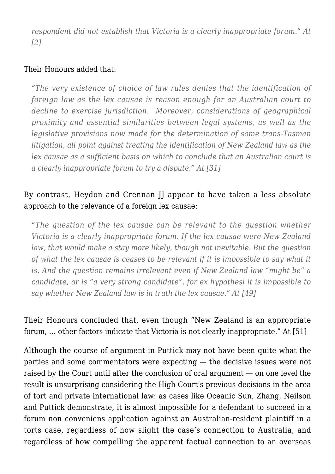*respondent did not establish that Victoria is a clearly inappropriate forum." At [2]*

## Their Honours added that:

*"The very existence of choice of law rules denies that the identification of foreign law as the lex causae is reason enough for an Australian court to decline to exercise jurisdiction. Moreover, considerations of geographical proximity and essential similarities between legal systems, as well as the legislative provisions now made for the determination of some trans-Tasman litigation, all point against treating the identification of New Zealand law as the lex causae as a sufficient basis on which to conclude that an Australian court is a clearly inappropriate forum to try a dispute." At [31]*

## By contrast, Heydon and Crennan II appear to have taken a less absolute approach to the relevance of a foreign lex causae:

*"The question of the lex causae can be relevant to the question whether Victoria is a clearly inappropriate forum. If the lex causae were New Zealand law, that would make a stay more likely, though not inevitable. But the question of what the lex causae is ceases to be relevant if it is impossible to say what it is. And the question remains irrelevant even if New Zealand law "might be" a candidate, or is "a very strong candidate", for ex hypothesi it is impossible to say whether New Zealand law is in truth the lex causae." At [49]*

Their Honours concluded that, even though "New Zealand is an appropriate forum, … other factors indicate that Victoria is not clearly inappropriate." At [51]

Although the course of argument in Puttick may not have been quite what the parties and some commentators were expecting — the decisive issues were not raised by the Court until after the conclusion of oral argument — on one level the result is unsurprising considering the High Court's previous decisions in the area of tort and private international law: as cases like [Oceanic Sun](http://www.austlii.edu.au/au/cases/cth/HCA/1988/32.html), [Zhang](http://www.austlii.edu.au/au/cases/cth/HCA/2002/10.html), [Neilson](http://www.austlii.edu.au/au/cases/cth/HCA/2005/54.html) and Puttick demonstrate, it is almost impossible for a defendant to succeed in a forum non conveniens application against an Australian-resident plaintiff in a torts case, regardless of how slight the case's connection to Australia, and regardless of how compelling the apparent factual connection to an overseas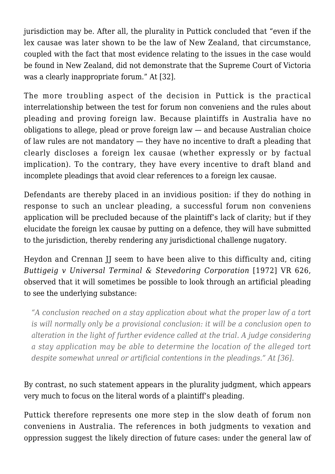jurisdiction may be. After all, the plurality in Puttick concluded that "even if the lex causae was later shown to be the law of New Zealand, that circumstance, coupled with the fact that most evidence relating to the issues in the case would be found in New Zealand, did not demonstrate that the Supreme Court of Victoria was a clearly inappropriate forum." At [32].

The more troubling aspect of the decision in Puttick is the practical interrelationship between the test for forum non conveniens and the rules about pleading and proving foreign law. Because plaintiffs in Australia have no obligations to allege, plead or prove foreign law — and because Australian choice of law rules are not mandatory — they have no incentive to draft a pleading that clearly discloses a foreign lex causae (whether expressly or by factual implication). To the contrary, they have every incentive to draft bland and incomplete pleadings that avoid clear references to a foreign lex causae.

Defendants are thereby placed in an invidious position: if they do nothing in response to such an unclear pleading, a successful forum non conveniens application will be precluded because of the plaintiff's lack of clarity; but if they elucidate the foreign lex causae by putting on a defence, they will have submitted to the jurisdiction, thereby rendering any jurisdictional challenge nugatory.

Heydon and Crennan JJ seem to have been alive to this difficulty and, citing *Buttigeig v Universal Terminal & Stevedoring Corporation* [1972] VR 626, observed that it will sometimes be possible to look through an artificial pleading to see the underlying substance:

*"A conclusion reached on a stay application about what the proper law of a tort is will normally only be a provisional conclusion: it will be a conclusion open to alteration in the light of further evidence called at the trial. A judge considering a stay application may be able to determine the location of the alleged tort despite somewhat unreal or artificial contentions in the pleadings." At [36].*

By contrast, no such statement appears in the plurality judgment, which appears very much to focus on the literal words of a plaintiff's pleading.

Puttick therefore represents one more step in the slow death of forum non conveniens in Australia. The references in both judgments to vexation and oppression suggest the likely direction of future cases: under the general law of